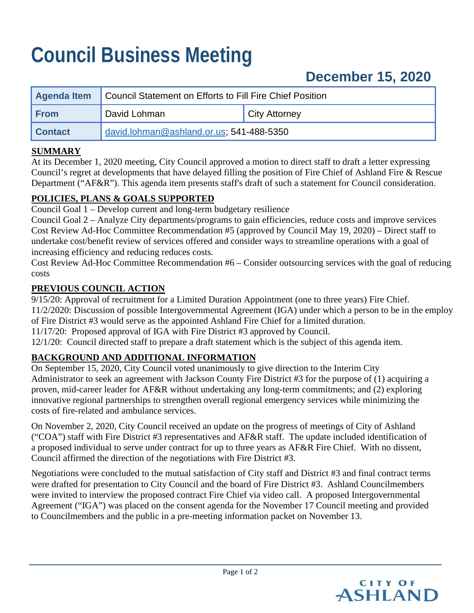# **Council Business Meeting**

# **December 15, 2020**

| <b>Agenda Item</b> | Council Statement on Efforts to Fill Fire Chief Position |                      |
|--------------------|----------------------------------------------------------|----------------------|
| l From             | David Lohman                                             | <b>City Attorney</b> |
| <b>Contact</b>     | david.lohman@ashland.or.us; 541-488-5350                 |                      |

#### **SUMMARY**

At its December 1, 2020 meeting, City Council approved a motion to direct staff to draft a letter expressing Council's regret at developments that have delayed filling the position of Fire Chief of Ashland Fire & Rescue Department ("AF&R"). This agenda item presents staff's draft of such a statement for Council consideration.

#### **POLICIES, PLANS & GOALS SUPPORTED**

Council Goal 1 – Develop current and long-term budgetary resilience

Council Goal 2 – Analyze City departments/programs to gain efficiencies, reduce costs and improve services Cost Review Ad-Hoc Committee Recommendation #5 (approved by Council May 19, 2020) – Direct staff to undertake cost/benefit review of services offered and consider ways to streamline operations with a goal of increasing efficiency and reducing reduces costs.

Cost Review Ad-Hoc Committee Recommendation #6 – Consider outsourcing services with the goal of reducing costs

#### **PREVIOUS COUNCIL ACTION**

9/15/20: Approval of recruitment for a Limited Duration Appointment (one to three years) Fire Chief.

11/2/2020: Discussion of possible Intergovernmental Agreement (IGA) under which a person to be in the employ of Fire District #3 would serve as the appointed Ashland Fire Chief for a limited duration.

11/17/20: Proposed approval of IGA with Fire District #3 approved by Council.

12/1/20: Council directed staff to prepare a draft statement which is the subject of this agenda item.

## **BACKGROUND AND ADDITIONAL INFORMATION**

On September 15, 2020, City Council voted unanimously to give direction to the Interim City Administrator to seek an agreement with Jackson County Fire District #3 for the purpose of (1) acquiring a proven, mid-career leader for AF&R without undertaking any long-term commitments; and (2) exploring innovative regional partnerships to strengthen overall regional emergency services while minimizing the costs of fire-related and ambulance services.

On November 2, 2020, City Council received an update on the progress of meetings of City of Ashland ("COA") staff with Fire District #3 representatives and AF&R staff. The update included identification of a proposed individual to serve under contract for up to three years as AF&R Fire Chief. With no dissent, Council affirmed the direction of the negotiations with Fire District #3.

Negotiations were concluded to the mutual satisfaction of City staff and District #3 and final contract terms were drafted for presentation to City Council and the board of Fire District #3. Ashland Councilmembers were invited to interview the proposed contract Fire Chief via video call. A proposed Intergovernmental Agreement ("IGA") was placed on the consent agenda for the November 17 Council meeting and provided to Councilmembers and the public in a pre-meeting information packet on November 13.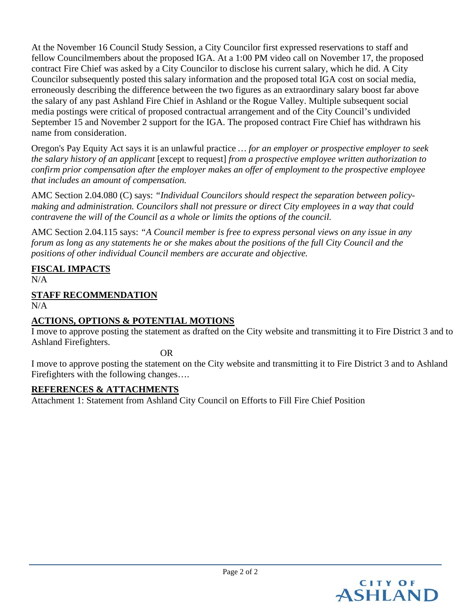At the November 16 Council Study Session, a City Councilor first expressed reservations to staff and fellow Councilmembers about the proposed IGA. At a 1:00 PM video call on November 17, the proposed contract Fire Chief was asked by a City Councilor to disclose his current salary, which he did. A City Councilor subsequently posted this salary information and the proposed total IGA cost on social media, erroneously describing the difference between the two figures as an extraordinary salary boost far above the salary of any past Ashland Fire Chief in Ashland or the Rogue Valley. Multiple subsequent social media postings were critical of proposed contractual arrangement and of the City Council's undivided September 15 and November 2 support for the IGA. The proposed contract Fire Chief has withdrawn his name from consideration.

Oregon's Pay Equity Act says it is an unlawful practice *… for an employer or prospective employer to seek the salary history of an applicant* [except to request] *from a prospective employee written authorization to confirm prior compensation after the employer makes an offer of employment to the prospective employee that includes an amount of compensation.*

AMC Section 2.04.080 (C) says: *"Individual Councilors should respect the separation between policymaking and administration. Councilors shall not pressure or direct City employees in a way that could contravene the will of the Council as a whole or limits the options of the council.*

AMC Section 2.04.115 says: *"A Council member is free to express personal views on any issue in any* forum as long as any statements he or she makes about the positions of the full City Council and the *positions of other individual Council members are accurate and objective.*

# **FISCAL IMPACTS**

 $N/A$ 

## **STAFF RECOMMENDATION**

N/A

## **ACTIONS, OPTIONS & POTENTIAL MOTIONS**

I move to approve posting the statement as drafted on the City website and transmitting it to Fire District 3 and to Ashland Firefighters.

OR

I move to approve posting the statement on the City website and transmitting it to Fire District 3 and to Ashland Firefighters with the following changes….

#### **REFERENCES & ATTACHMENTS**

Attachment 1: Statement from Ashland City Council on Efforts to Fill Fire Chief Position